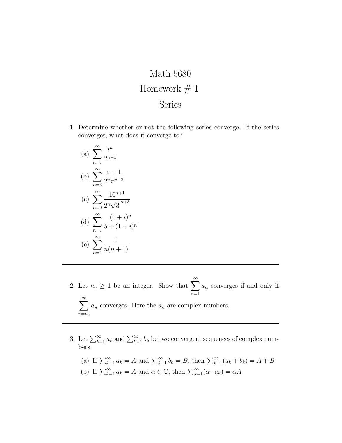## Math 5680 Homework  $# 1$ Series

- 1. Determine whether or not the following series converge. If the series converges, what does it converge to?
	- (a)  $\sum_{n=1}^{\infty}$  $n=1$ i n  $2^{n-1}$ (b)  $\sum_{n=1}^{\infty}$  $n=3$  $e+1$  $2^n \pi^{n+3}$  $(c) \sum_{n=1}^{\infty}$  $n=0$  $10^{n+1}$  $\frac{1}{2^n}\sqrt{ }$  $\overline{3}^{n+3}$ (d)  $\sum_{n=1}^{\infty}$  $n=1$  $(1+i)^n$  $5 + (1 + i)^n$ (e)  $\sum_{n=1}^{\infty}$  $n=1$ 1  $n(n+1)$
- 2. Let  $n_0 \geq 1$  be an integer. Show that  $\sum_{n=1}^{\infty}$  $n=1$  $a_n$  converges if and only if  $\sum^{\infty}$  $n=n_0$  $a_n$  converges. Here the  $a_n$  are complex numbers.
- 3. Let  $\sum_{k=1}^{\infty} a_k$  and  $\sum_{k=1}^{\infty} b_k$  be two convergent sequences of complex numbers.

(a) If 
$$
\sum_{k=1}^{\infty} a_k = A
$$
 and  $\sum_{k=1}^{\infty} b_k = B$ , then  $\sum_{k=1}^{\infty} (a_k + b_k) = A + B$   
\n(b) If  $\sum_{k=1}^{\infty} a_k = A$  and  $\alpha \in \mathbb{C}$ , then  $\sum_{k=1}^{\infty} (\alpha \cdot a_k) = \alpha A$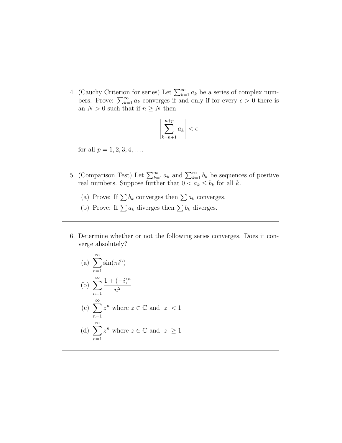4. (Cauchy Criterion for series) Let  $\sum_{k=1}^{\infty} a_k$  be a series of complex numbers. Prove:  $\sum_{k=1}^{\infty} a_k$  converges if and only if for every  $\epsilon > 0$  there is an  $N > 0$  such that if  $n \geq N$  then

$$
\left|\sum_{k=n+1}^{n+p} a_k\right| < \epsilon
$$

for all  $p = 1, 2, 3, 4, \ldots$ 

- 5. (Comparison Test) Let  $\sum_{k=1}^{\infty} a_k$  and  $\sum_{k=1}^{\infty} b_k$  be sequences of positive real numbers. Suppose further that  $0 < a_k \leq b_k$  for all k.
	- (a) Prove: If  $\sum b_k$  converges then  $\sum a_k$  converges.
	- (b) Prove: If  $\sum a_k$  diverges then  $\sum b_k$  diverges.
- 6. Determine whether or not the following series converges. Does it converge absolutely?

(a) 
$$
\sum_{n=1}^{\infty} \sin(\pi i^n)
$$
  
\n(b) 
$$
\sum_{n=1}^{\infty} \frac{1 + (-i)^n}{n^2}
$$
  
\n(c) 
$$
\sum_{n=1}^{\infty} z^n
$$
 where  $z \in \mathbb{C}$  and  $|z| < 1$   
\n(d) 
$$
\sum_{n=1}^{\infty} z^n
$$
 where  $z \in \mathbb{C}$  and  $|z| \ge 1$